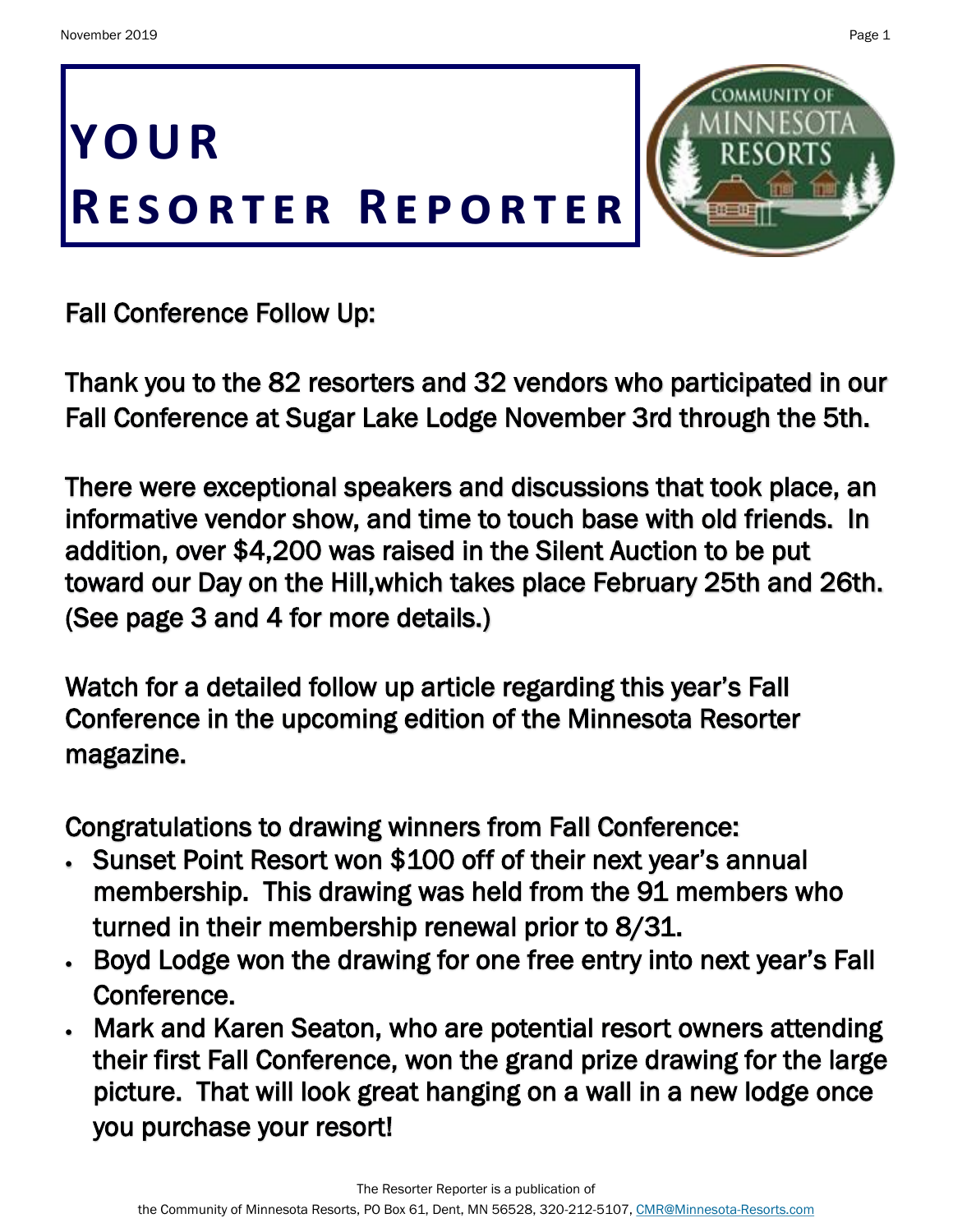**YO U R**

Fall Conference Follow Up:

Thank you to the 82 resorters and 32 vendors who participated in our Fall Conference at Sugar Lake Lodge November 3rd through the 5th.

There were exceptional speakers and discussions that took place, an informative vendor show, and time to touch base with old friends. In addition, over \$4,200 was raised in the Silent Auction to be put toward our Day on the Hill,which takes place February 25th and 26th. (See page 3 and 4 for more details.)

Watch for a detailed follow up article regarding this year's Fall Conference in the upcoming edition of the Minnesota Resorter magazine.

Congratulations to drawing winners from Fall Conference:

- Sunset Point Resort won \$100 off of their next year's annual membership. This drawing was held from the 91 members who turned in their membership renewal prior to 8/31.
- Boyd Lodge won the drawing for one free entry into next year's Fall Conference.
- Mark and Karen Seaton, who are potential resort owners attending their first Fall Conference, won the grand prize drawing for the large picture. That will look great hanging on a wall in a new lodge once you purchase your resort!

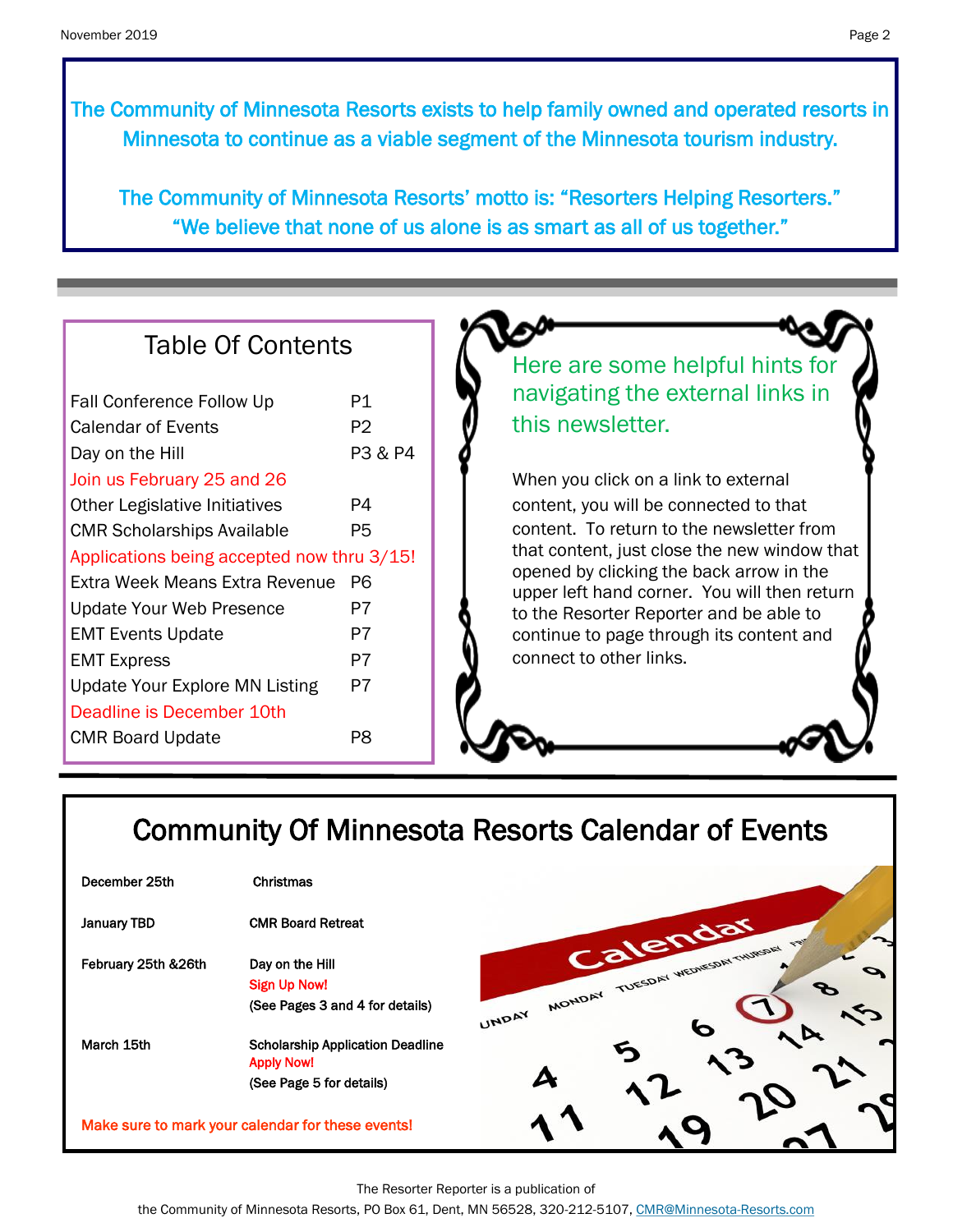The Community of Minnesota Resorts exists to help family owned and operated resorts in Minnesota to continue as a viable segment of the Minnesota tourism industry.

The Community of Minnesota Resorts' motto is: "Resorters Helping Resorters." "We believe that none of us alone is as smart as all of us together."

| <b>Table Of Contents</b>                                                                                                                       |                            |
|------------------------------------------------------------------------------------------------------------------------------------------------|----------------------------|
| Fall Conference Follow Up<br><b>Calendar of Events</b><br>Day on the Hill                                                                      | P1<br><b>P2</b><br>P3 & P4 |
| Join us February 25 and 26<br><b>Other Legislative Initiatives</b><br><b>CMR Scholarships Available</b>                                        | P4<br>P <sub>5</sub>       |
| Applications being accepted now thru 3/15!<br>Extra Week Means Extra Revenue P6<br><b>Update Your Web Presence</b><br><b>EMT Events Update</b> | P7<br>P7                   |
| <b>EMT Express</b><br><b>Update Your Explore MN Listing</b><br>Deadline is December 10th                                                       | P7<br>P7                   |
| <b>CMR Board Update</b>                                                                                                                        | P8                         |

# Community Of Minnesota Resorts Calendar of Events

| December 25th                                     | Christmas                                                                                |                      |
|---------------------------------------------------|------------------------------------------------------------------------------------------|----------------------|
| <b>January TBD</b>                                | <b>CMR Board Retreat</b>                                                                 |                      |
| February 25th & 26th                              | Day on the Hill<br><b>Sign Up Now!</b><br>(See Pages 3 and 4 for details)                | MONDAY TUES<br>UNDAY |
| March 15th                                        | <b>Scholarship Application Deadline</b><br><b>Apply Now!</b><br>(See Page 5 for details) |                      |
| Make sure to mark your calendar for these events! |                                                                                          |                      |

The Resorter Reporter is a publication of

the Community of Minnesota Resorts, PO Box 61, Dent, MN 56528, 320-212-5107, [CMR@Minnesota-Resorts.com](mailto:CMR@Minnesota-Resorts.com?subject=Community%20of%20Minnesota%20Resorts)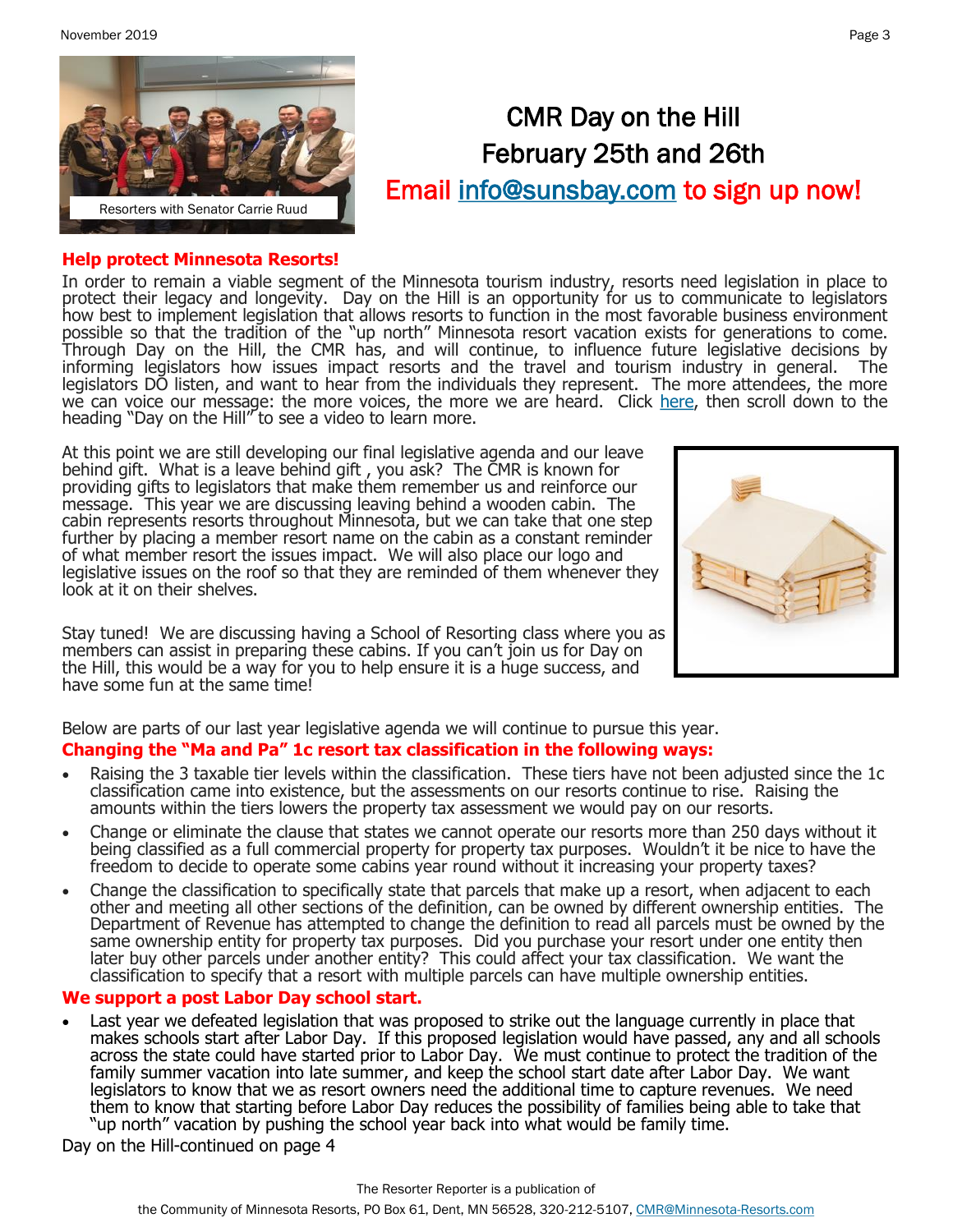November 2019 Page 3



# CMR Day on the Hill February 25th and 26th Email [info@sunsbay.com t](mailto:info@sunsbay.com?subject=Day%20On%20The%20Hill%20Sign-Up)o sign up now!

### **Help protect Minnesota Resorts!**

In order to remain a viable segment of the Minnesota tourism industry, resorts need legislation in place to protect their legacy and longevity. Day on the Hill is an opportunity for us to communicate to legislators how best to implement legislation that allows resorts to function in the most favorable business environment possible so that the tradition of the "up north" Minnesota resort vacation exists for generations to come. Through Day on the Hill, the CMR has, and will continue, to influence future legislative decisions by informing legislators how issues impact resorts and the travel and tourism industry in general. The legislators DO listen, and want to hear from the individuals they represent. The more attendees, the more we can voice our message: the more voices, the more we are heard. Click [here,](https://minnesota-resorts.com/membership/) then scroll down to the heading "Day on the Hill" to see a video to learn more.

At this point we are still developing our final legislative agenda and our leave behind gift. What is a leave behind gift , you ask? The CMR is known for providing gifts to legislators that make them remember us and reinforce our message. This year we are discussing leaving behind a wooden cabin. The cabin represents resorts throughout Minnesota, but we can take that one step further by placing a member resort name on the cabin as a constant reminder of what member resort the issues impact. We will also place our logo and legislative issues on the roof so that they are reminded of them whenever they look at it on their shelves.

Stay tuned! We are discussing having a School of Resorting class where you as members can assist in preparing these cabins. If you can't join us for Day on the Hill, this would be a way for you to help ensure it is a huge success, and have some fun at the same time!



Below are parts of our last year legislative agenda we will continue to pursue this year. **Changing the "Ma and Pa" 1c resort tax classification in the following ways:**

- Raising the 3 taxable tier levels within the classification. These tiers have not been adjusted since the 1c classification came into existence, but the assessments on our resorts continue to rise. Raising the amounts within the tiers lowers the property tax assessment we would pay on our resorts.
- Change or eliminate the clause that states we cannot operate our resorts more than 250 days without it being classified as a full commercial property for property tax purposes. Wouldn't it be nice to have the freedom to decide to operate some cabins year round without it increasing your property taxes?
- Change the classification to specifically state that parcels that make up a resort, when adjacent to each other and meeting all other sections of the definition, can be owned by different ownership entities. The Department of Revenue has attempted to change the definition to read all parcels must be owned by the same ownership entity for property tax purposes. Did you purchase your resort under one entity then later buy other parcels under another entity? This could affect your tax classification. We want the classification to specify that a resort with multiple parcels can have multiple ownership entities.

## **We support a post Labor Day school start.**

• Last year we defeated legislation that was proposed to strike out the language currently in place that makes schools start after Labor Day. If this proposed legislation would have passed, any and all schools across the state could have started prior to Labor Day. We must continue to protect the tradition of the family summer vacation into late summer, and keep the school start date after Labor Day. We want legislators to know that we as resort owners need the additional time to capture revenues. We need them to know that starting before Labor Day reduces the possibility of families being able to take that "up north" vacation by pushing the school year back into what would be family time.

Day on the Hill-continued on page 4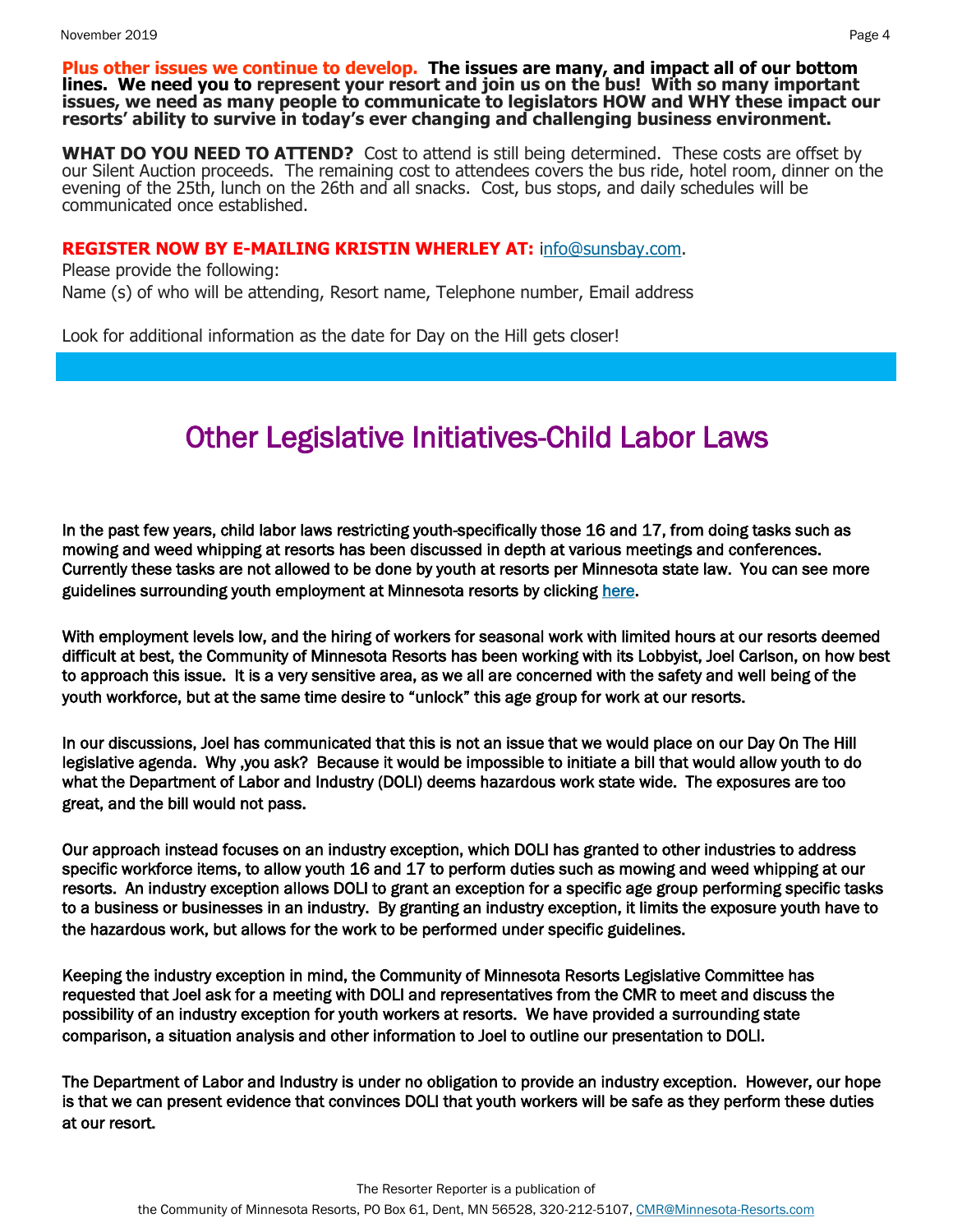**Plus other issues we continue to develop. The issues are many, and impact all of our bottom lines. We need you to represent your resort and join us on the bus! With so many important issues, we need as many people to communicate to legislators HOW and WHY these impact our resorts' ability to survive in today's ever changing and challenging business environment.** 

**WHAT DO YOU NEED TO ATTEND?** Cost to attend is still being determined. These costs are offset by our Silent Auction proceeds. The remaining cost to attendees covers the bus ride, hotel room, dinner on the evening of the 25th, lunch on the 26th and all snacks. Cost, bus stops, and daily schedules will be communicated once established.

#### **REGISTER NOW BY E-MAILING KRISTIN WHERLEY AT:** [info@sunsbay.com.](mailto:info@sunsbay.com?subject=Day%20On%20The%20Hill)

Please provide the following:

Name (s) of who will be attending, Resort name, Telephone number, Email address

Look for additional information as the date for Day on the Hill gets closer!

# Other Legislative Initiatives-Child Labor Laws

In the past few years, child labor laws restricting youth-specifically those 16 and 17, from doing tasks such as mowing and weed whipping at resorts has been discussed in depth at various meetings and conferences. Currently these tasks are not allowed to be done by youth at resorts per Minnesota state law. You can see more guidelines surrounding youth employment at Minnesota resorts by clicking [here.](https://www.dli.mn.gov/sites/default/files/pdf/resort_workers.pdf) 

With employment levels low, and the hiring of workers for seasonal work with limited hours at our resorts deemed difficult at best, the Community of Minnesota Resorts has been working with its Lobbyist, Joel Carlson, on how best to approach this issue. It is a very sensitive area, as we all are concerned with the safety and well being of the youth workforce, but at the same time desire to "unlock" this age group for work at our resorts.

In our discussions, Joel has communicated that this is not an issue that we would place on our Day On The Hill legislative agenda. Why ,you ask? Because it would be impossible to initiate a bill that would allow youth to do what the Department of Labor and Industry (DOLI) deems hazardous work state wide. The exposures are too great, and the bill would not pass.

Our approach instead focuses on an industry exception, which DOLI has granted to other industries to address specific workforce items, to allow youth 16 and 17 to perform duties such as mowing and weed whipping at our resorts. An industry exception allows DOLI to grant an exception for a specific age group performing specific tasks to a business or businesses in an industry. By granting an industry exception, it limits the exposure youth have to the hazardous work, but allows for the work to be performed under specific guidelines.

Keeping the industry exception in mind, the Community of Minnesota Resorts Legislative Committee has requested that Joel ask for a meeting with DOLI and representatives from the CMR to meet and discuss the possibility of an industry exception for youth workers at resorts. We have provided a surrounding state comparison, a situation analysis and other information to Joel to outline our presentation to DOLI.

The Department of Labor and Industry is under no obligation to provide an industry exception. However, our hope is that we can present evidence that convinces DOLI that youth workers will be safe as they perform these duties at our resort.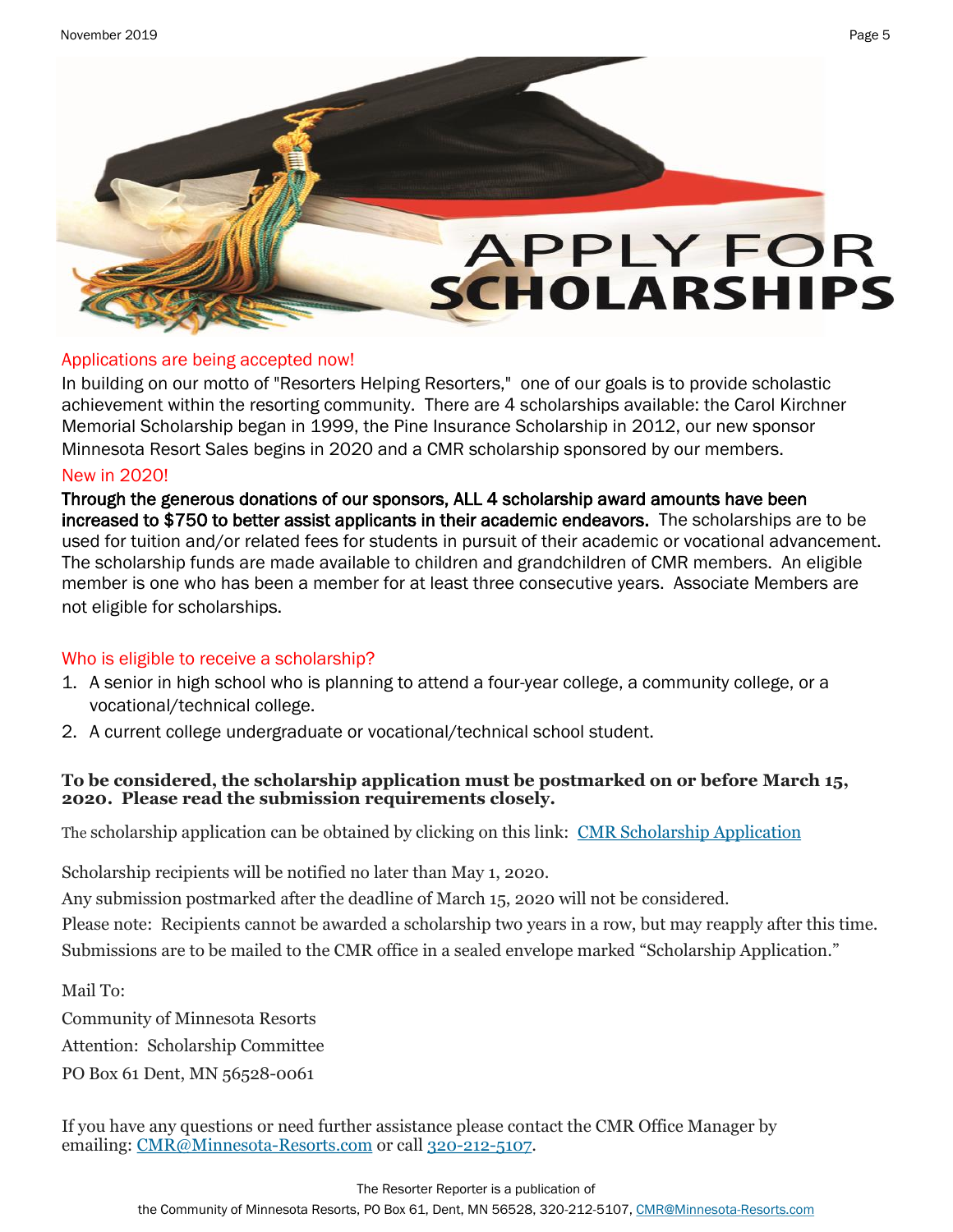

## Applications are being accepted now!

In building on our motto of "Resorters Helping Resorters," one of our goals is to provide scholastic achievement within the resorting community. There are 4 scholarships available: the Carol Kirchner Memorial Scholarship began in 1999, the Pine Insurance Scholarship in 2012, our new sponsor Minnesota Resort Sales begins in 2020 and a CMR scholarship sponsored by our members.

## New in 2020!

Through the generous donations of our sponsors, ALL 4 scholarship award amounts have been increased to \$750 to better assist applicants in their academic endeavors. The scholarships are to be used for tuition and/or related fees for students in pursuit of their academic or vocational advancement. The scholarship funds are made available to children and grandchildren of CMR members. An eligible member is one who has been a member for at least three consecutive years. Associate Members are not eligible for scholarships.

## Who is eligible to receive a scholarship?

- 1. A senior in high school who is planning to attend a four-year college, a community college, or a vocational/technical college.
- 2. A current college undergraduate or vocational/technical school student.

## **To be considered, the scholarship application must be postmarked on or before March 15, 2020. Please read the submission requirements closely.**

The scholarship application can be obtained by clicking on this link: [CMR Scholarship Application](http://minnesota-resorts.com/wp-content/uploads/2019/11/Scholarship-Application-2019.pdf)

Scholarship recipients will be notified no later than May 1, 2020.

Any submission postmarked after the deadline of March 15, 2020 will not be considered.

Please note: Recipients cannot be awarded a scholarship two years in a row, but may reapply after this time. Submissions are to be mailed to the CMR office in a sealed envelope marked "Scholarship Application."

Mail To:

Community of Minnesota Resorts Attention: Scholarship Committee PO Box 61 Dent, MN 56528-0061

If you have any questions or need further assistance please contact the CMR Office Manager by emailing: [CMR@Minnesota](mailto:cmr@minnesota-resorts.com)-Resorts.com or call 320-212-[5107.](tel:(320)%20212-5107)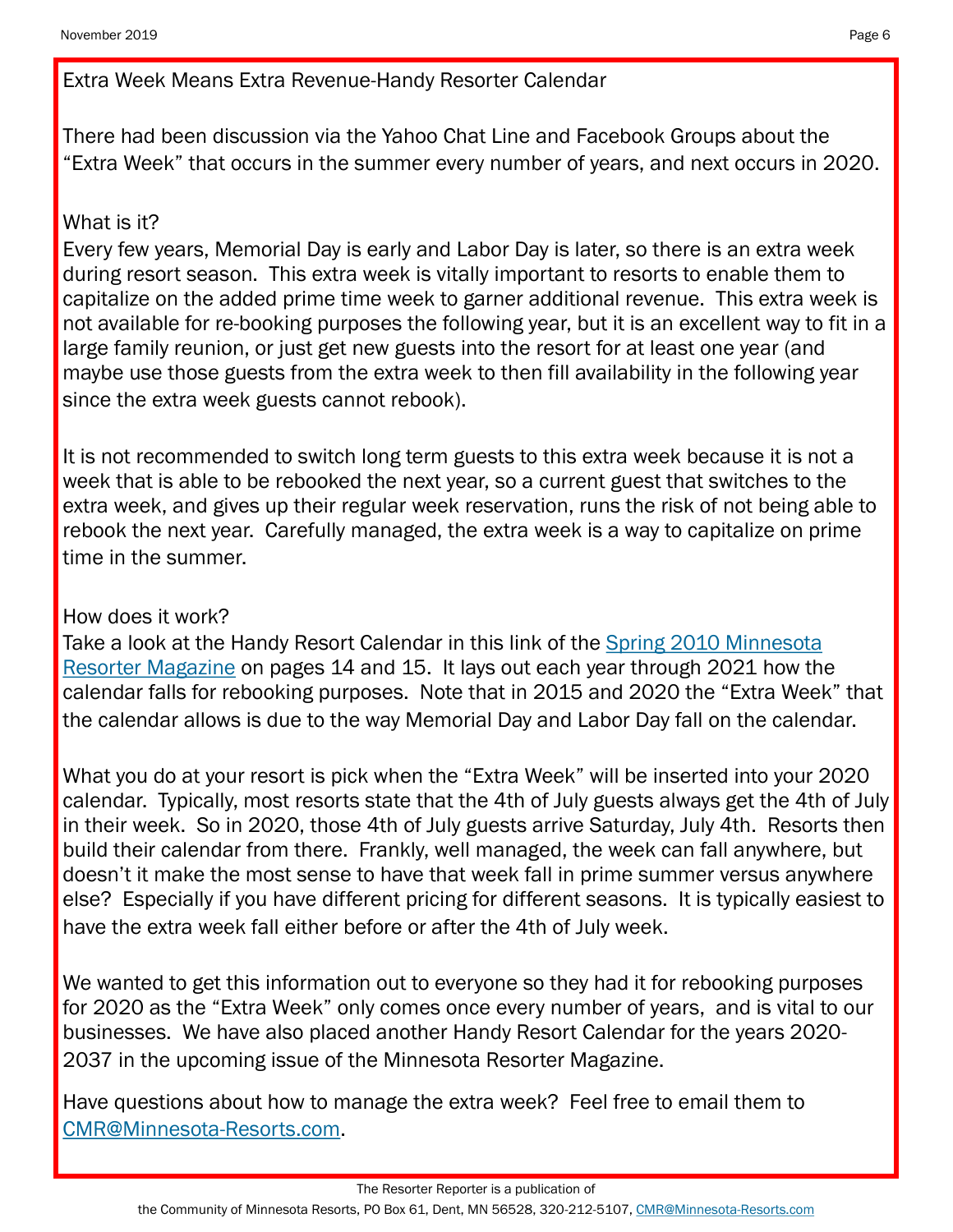Extra Week Means Extra Revenue-Handy Resorter Calendar

There had been discussion via the Yahoo Chat Line and Facebook Groups about the "Extra Week" that occurs in the summer every number of years, and next occurs in 2020.

# What is it?

Every few years, Memorial Day is early and Labor Day is later, so there is an extra week during resort season. This extra week is vitally important to resorts to enable them to capitalize on the added prime time week to garner additional revenue. This extra week is not available for re-booking purposes the following year, but it is an excellent way to fit in a large family reunion, or just get new guests into the resort for at least one year (and maybe use those guests from the extra week to then fill availability in the following year since the extra week guests cannot rebook).

It is not recommended to switch long term guests to this extra week because it is not a week that is able to be rebooked the next year, so a current guest that switches to the extra week, and gives up their regular week reservation, runs the risk of not being able to rebook the next year. Carefully managed, the extra week is a way to capitalize on prime time in the summer.

## How does it work?

Take a look at the Handy Resort Calendar in this link of the [Spring 2010 Minnesota](https://minnesota-resorts.com/wp-content/uploads/resorters/Vol%2026%20No%202%20-%20Spring%202010%20Interactive/FLASH/index.html?page=14)  [Resorter Magazine](https://minnesota-resorts.com/wp-content/uploads/resorters/Vol%2026%20No%202%20-%20Spring%202010%20Interactive/FLASH/index.html?page=14) on pages 14 and 15. It lays out each year through 2021 how the calendar falls for rebooking purposes. Note that in 2015 and 2020 the "Extra Week" that the calendar allows is due to the way Memorial Day and Labor Day fall on the calendar.

What you do at your resort is pick when the "Extra Week" will be inserted into your 2020 calendar. Typically, most resorts state that the 4th of July guests always get the 4th of July in their week. So in 2020, those 4th of July guests arrive Saturday, July 4th. Resorts then build their calendar from there. Frankly, well managed, the week can fall anywhere, but doesn't it make the most sense to have that week fall in prime summer versus anywhere else? Especially if you have different pricing for different seasons. It is typically easiest to have the extra week fall either before or after the 4th of July week.

We wanted to get this information out to everyone so they had it for rebooking purposes for 2020 as the "Extra Week" only comes once every number of years, and is vital to our businesses. We have also placed another Handy Resort Calendar for the years 2020- 2037 in the upcoming issue of the Minnesota Resorter Magazine.

Have questions about how to manage the extra week? Feel free to email them to [CMR@Minnesota-Resorts.com.](mailto:CMR@Minnesota-Resorts.com?subject=Extra%20Week)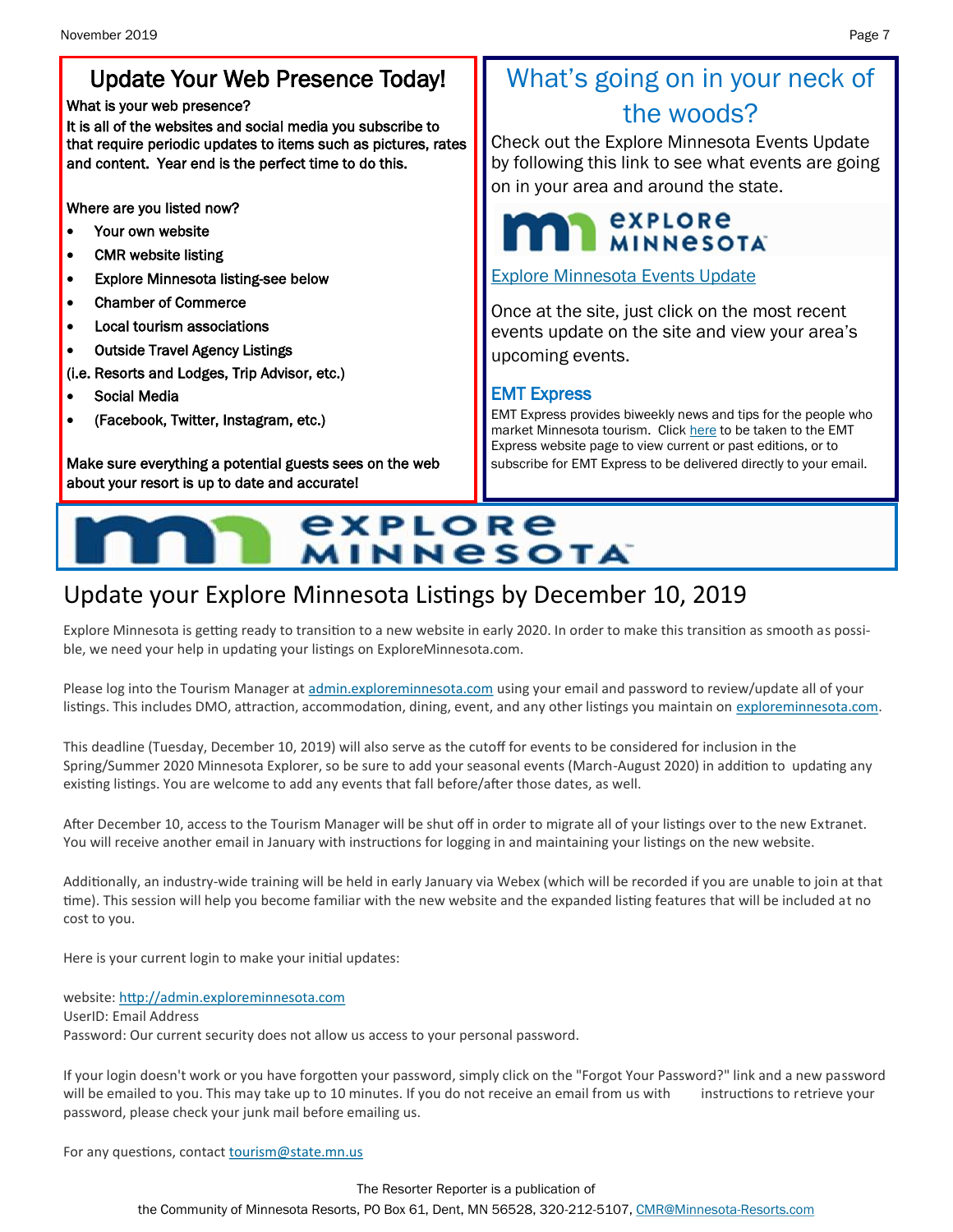# Update Your Web Presence Today!

#### What is your web presence?

It is all of the websites and social media you subscribe to that require periodic updates to items such as pictures, rates and content. Year end is the perfect time to do this.

Where are you listed now?

- Your own website
- CMR website listing
- Explore Minnesota listing-see below
- Chamber of Commerce
- Local tourism associations
- Outside Travel Agency Listings
- (i.e. Resorts and Lodges, Trip Advisor, etc.)
- Social Media
- (Facebook, Twitter, Instagram, etc.)

Make sure everything a potential guests sees on the web about your resort is up to date and accurate!

# What's going on in your neck of the woods?

Check out the Explore Minnesota Events Update by following this link to see what events are going on in your area and around the state.

# **EXPLORE MINNESOTA**

## [Explore Minnesota Events Update](http://www.exploreminnesota.com/newsletter-sign-up/reports/events-report/)

Once at the site, just click on the most recent events update on the site and view your area's upcoming events.

## EMT Express

EMT Express provides biweekly news and tips for the people who market Minnesota tourism. Click [here](https://mn.gov/tourism-industry/resources/emt-express/) to be taken to the EMT Express website page to view current or past editions, or to subscribe for EMT Express to be delivered directly to your email.

# explore **MINNESOTA**

# Update your Explore Minnesota Listings by December 10, 2019

Explore Minnesota is getting ready to transition to a new website in early 2020. In order to make this transition as smooth as possible, we need your help in updating your listings on ExploreMinnesota.com.

Please log into the Tourism Manager at [admin.exploreminnesota.com](http://admin.exploreminnesota.com/) using your email and password to review/update all of your listings. This includes DMO, attraction, accommodation, dining, event, and any other listings you maintain on [exploreminnesota.com.](http://exploreminnesota.com/)

This deadline (Tuesday, December 10, 2019) will also serve as the cutoff for events to be considered for inclusion in the Spring/Summer 2020 Minnesota Explorer, so be sure to add your seasonal events (March-August 2020) in addition to updating any existing listings. You are welcome to add any events that fall before/after those dates, as well.

After December 10, access to the Tourism Manager will be shut off in order to migrate all of your listings over to the new Extranet. You will receive another email in January with instructions for logging in and maintaining your listings on the new website.

Additionally, an industry-wide training will be held in early January via Webex (which will be recorded if you are unable to join at that time). This session will help you become familiar with the new website and the expanded listing features that will be included at no cost to you.

Here is your current login to make your initial updates:

website: [http://admin.exploreminnesota.com](http://admin.exploreminnesota.com/?utm_medium=email&utm_source=govdelivery) UserID: Email Address Password: Our current security does not allow us access to your personal password.

If your login doesn't work or you have forgotten your password, simply click on the "Forgot Your Password?" link and a new password will be emailed to you. This may take up to 10 minutes. If you do not receive an email from us with instructions to retrieve your password, please check your junk mail before emailing us.

For any questions, contact [tourism@state.mn.us](mailto:tourism@state.mn.us)